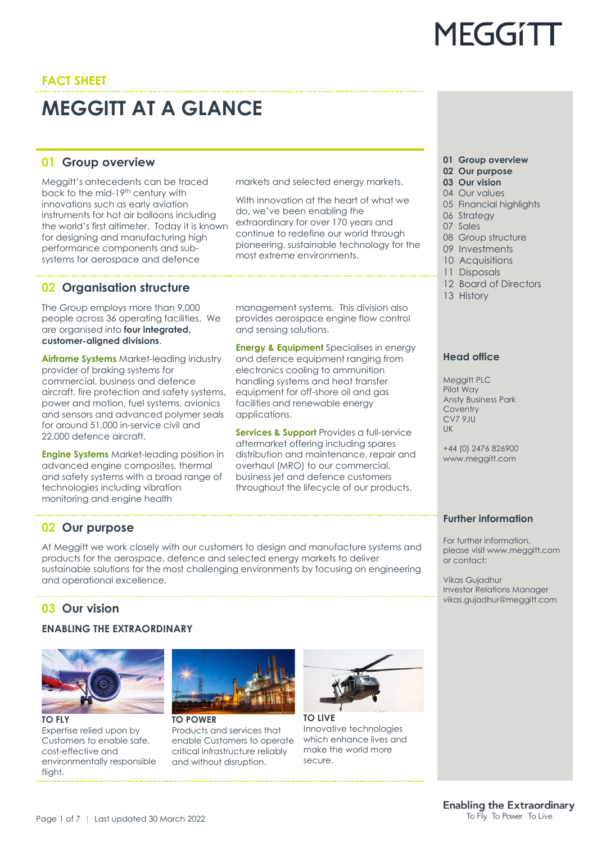## **MEGGITT AT A GLANCE**

## **01 Group overview 01 Group overview**

Meggitt's antecedents can be traced back to the mid-19th century with innovations such as early aviation instruments for hot air balloons including the world's first altimeter. Today it is known for designing and manufacturing high performance components and subsystems for aerospace and defence

## **02 Organisation structure**

The Group employs more than 9,000 people across 36 operating facilities. We are organised into **four integrated, customer-aligned divisions**.

**Airframe Systems** Market-leading industry provider of braking systems for commercial, business and defence aircraft, fire protection and safety systems, power and motion, fuel systems, avionics and sensors and advanced polymer seals for around 51,000 in-service civil and 22,000 defence aircraft.

**Engine Systems** Market-leading position in advanced engine composites, thermal and safety systems with a broad range of technologies including vibration monitoring and engine health

markets and selected energy markets.

With innovation at the heart of what we do, we've been enabling the extraordinary for over 170 years and continue to redefine our world through pioneering, sustainable technology for the most extreme environments.

management systems. This division also provides aerospace engine flow control and sensing solutions.

**Energy & Equipment** Specialises in energy and defence equipment ranging from electronics cooling to ammunition handling systems and heat transfer equipment for off-shore oil and gas facilities and renewable energy applications.

**Services & Support** Provides a full-service aftermarket offering including spares distribution and maintenance, repair and overhaul (MRO) to our commercial, business jet and defence customers throughout the lifecycle of our products.

**MEGGITT** 

- **02 Our purpose**
- **03 Our vision**
- 04 Our values
- 05 Financial highlights 06 Strategy
- 
- 07 Sales
- 08 Group structure
- 09 Investments
- 10 Acquisitions
- 11 Disposals
- 12 Board of Directors
- 13 History

## **Head office**

Meggitt PLC Pilot Way Ansty Business Park Coventry  $CV79III$ UK

+44 (0) 2476 826900 www.meggitt.com

## **Further information**

For further information, please visit www.meggitt.com or contact:

Vikas Gujadhur Investor Relations Manager vikas.gujadhur@meggitt.com

## **02 Our purpose**

At Meggitt we work closely with our customers to design and manufacture systems and products for the aerospace, defence and selected energy markets to deliver sustainable solutions for the most challenging environments by focusing on engineering and operational excellence.

## **03 Our vision**

## **ENABLING THE EXTRAORDINARY**



Expertise relied upon by Customers to enable safe, cost-effective and environmentally responsible flight.



**TO POWER** Products and services that enable Customers to operate critical infrastructure reliably and without disruption.



**TO LIVE** Innovative technologies which enhance lives and make the world more secure.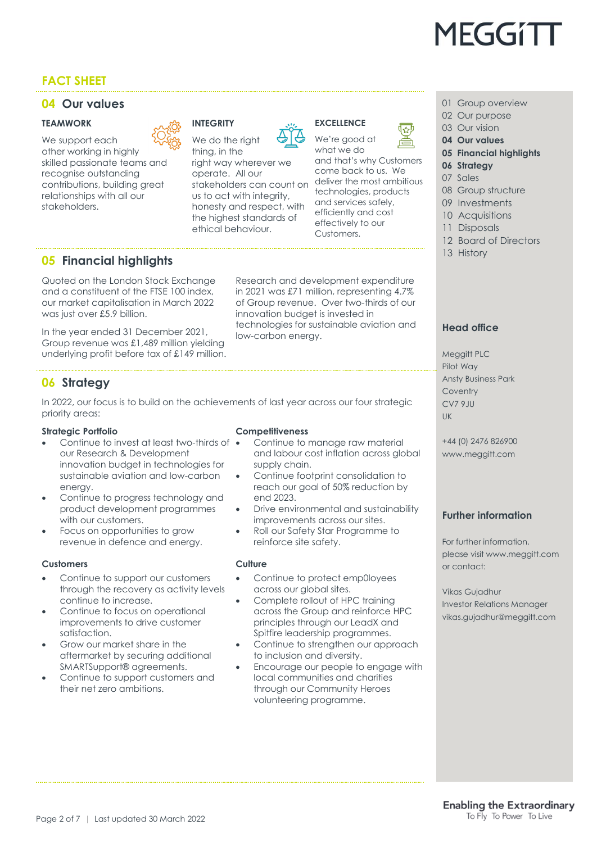

### **04 Our values 01 Group overview 01 Group overview**

#### **TEAMWORK**

We support each other working in highly skilled passionate teams and recognise outstanding contributions, building great relationships with all our stakeholders.



## **INTEGRITY**

We do the right thing, in the

right way wherever we operate. All our stakeholders can count on us to act with integrity, honesty and respect, with the highest standards of ethical behaviour.

#### **EXCELLENCE** We're good at

what we do

and that's why Customers come back to us. We deliver the most ambitious technologies, products and services safely, efficiently and cost effectively to our Customers.



- 02 Our purpose
- 03 Our vision
- **04 Our values 05 Financial highlights**
- **06 Strategy**
- 07 Sales
- 08 Group structure
- 09 Investments
- 10 Acquisitions
- 11 Disposals
- 12 Board of Directors
- 13 History

**Head office**

Meggitt PLC Pilot Way

**Coventry** CV7 9JU UK

Ansty Business Park

## **05 Financial highlights**

Quoted on the London Stock Exchange and a constituent of the FTSE 100 index, our market capitalisation in March 2022 was just over £5.9 billion.

In the year ended 31 December 2021, Group revenue was £1,489 million yielding underlying profit before tax of £149 million.

Research and development expenditure in 2021 was £71 million, representing 4.7% of Group revenue. Over two-thirds of our innovation budget is invested in technologies for sustainable aviation and low-carbon energy.

### **06 Strategy**

In 2022, our focus is to build on the achievements of last year across our four strategic priority areas:

#### **Strategic Portfolio**

- Continue to invest at least two-thirds of  $\bullet$ our Research & Development innovation budget in technologies for sustainable aviation and low-carbon energy.
- Continue to progress technology and product development programmes with our customers.
- Focus on opportunities to grow revenue in defence and energy.

#### **Customers**

- Continue to support our customers through the recovery as activity levels continue to increase.
- Continue to focus on operational improvements to drive customer satisfaction.
- Grow our market share in the aftermarket by securing additional SMARTSupport® agreements.
- Continue to support customers and their net zero ambitions.

#### **Competitiveness**

- Continue to manage raw material and labour cost inflation across global supply chain.
- Continue footprint consolidation to reach our goal of 50% reduction by end 2023.
- Drive environmental and sustainability improvements across our sites.
- Roll our Safety Star Programme to reinforce site safety.

#### **Culture**

- Continue to protect emp0loyees across our global sites.
- Complete rollout of HPC training across the Group and reinforce HPC principles through our LeadX and Spitfire leadership programmes.
- Continue to strengthen our approach to inclusion and diversity.
- Encourage our people to engage with local communities and charities through our Community Heroes volunteering programme.

#### +44 (0) 2476 826900 www.meggitt.com

### **Further information**

For further information, please visit www.meggitt.com or contact:

Vikas Gujadhur Investor Relations Manager vikas.gujadhur@meggitt.com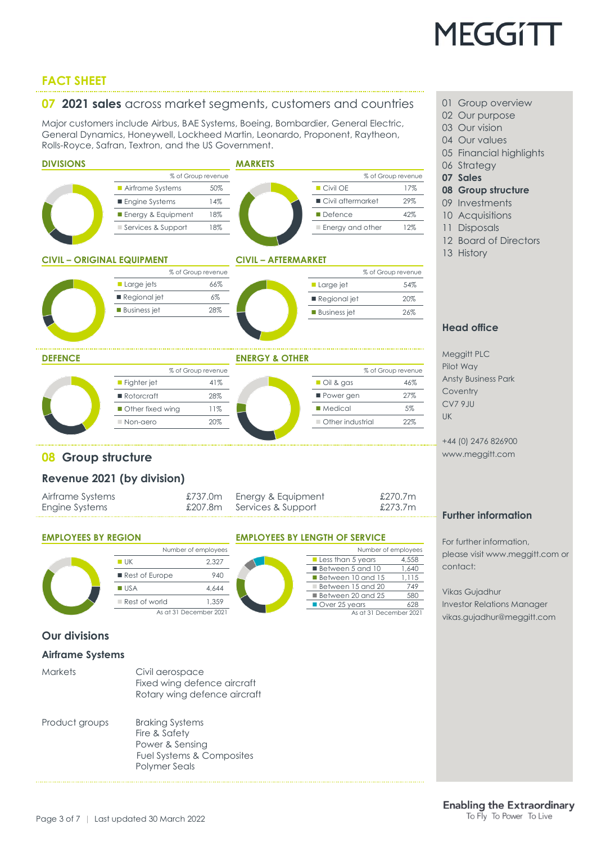

#### **07 2021 sales** across market segments, customers and countries <sup>01</sup> Group overview

Major customers include Airbus, BAE Systems, Boeing, Bombardier, General Electric, General Dynamics, Honeywell, Lockheed Martin, Leonardo, Proponent, Raytheon, Rolls-Royce, Safran, Textron, and the US Government.



- 02 Our purpose
- 03 Our vision
- 04 Our values
- 05 Financial highlights
- 06 Strategy
- 
- 
- **08 Group structure**
- 09 Investments
- 10 Acquisitions
- 11 Disposals
- 12 Board of Directors
- 13 History

#### **Head office**

Meggitt PLC Pilot Way Ansty Business Park **Coventry** CV7 9JU

+44 (0) 2476 826900 www.meggitt.com

#### **Further information**

For further information, please visit www.meggitt.com or contact:

Vikas Gujadhur

Investor Relations Manager vikas.gujadhur@meggitt.com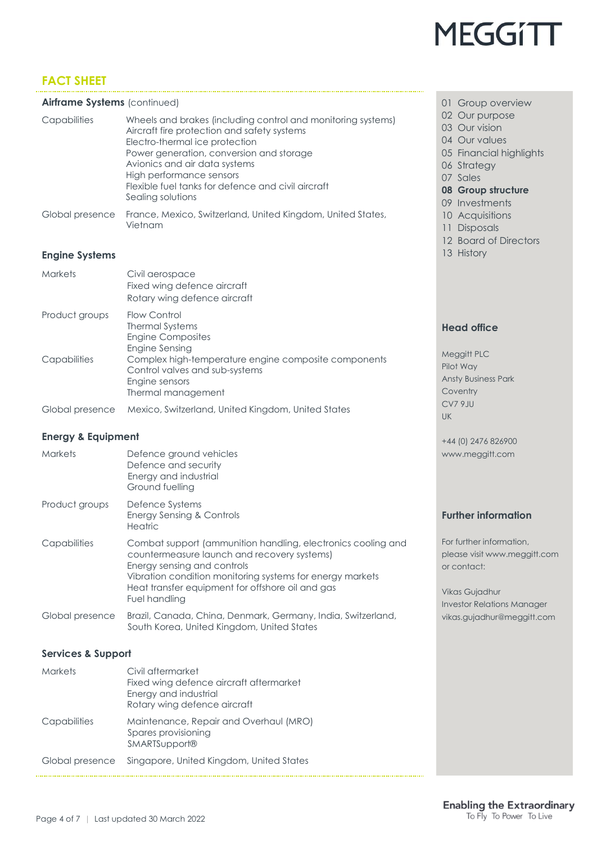

#### **Airframe Systems** (continued)

| Capabilities    | Wheels and brakes (including control and monitoring systems)<br>Aircraft fire protection and safety systems<br>Electro-thermal ice protection<br>Power generation, conversion and storage<br>Avionics and air data systems<br>High performance sensors<br>Flexible fuel tanks for defence and civil aircraft<br>Sealing solutions |
|-----------------|-----------------------------------------------------------------------------------------------------------------------------------------------------------------------------------------------------------------------------------------------------------------------------------------------------------------------------------|
| Global presence | France, Mexico, Switzerland, United Kingdom, United States,<br>Vietnam                                                                                                                                                                                                                                                            |

#### **Engine Systems**

| <b>Markets</b>  | Civil aerospace<br>Fixed wing defence aircraft<br>Rotary wing defence aircraft                                                 |
|-----------------|--------------------------------------------------------------------------------------------------------------------------------|
| Product groups  | Flow Control<br><b>Thermal Systems</b><br><b>Engine Composites</b><br>Engine Sensing                                           |
| Capabilities    | Complex high-temperature engine composite components<br>Control valves and sub-systems<br>Engine sensors<br>Thermal management |
| Global presence | Mexico, Switzerland, United Kingdom, United States                                                                             |

#### **Energy & Equipment**

| <b>Markets</b>  | Defence ground vehicles<br>Defence and security<br>Energy and industrial<br>Ground fuelling                                                                                                                                                                                  |
|-----------------|------------------------------------------------------------------------------------------------------------------------------------------------------------------------------------------------------------------------------------------------------------------------------|
| Product groups  | Defence Systems<br>Energy Sensing & Controls<br><b>Heatric</b>                                                                                                                                                                                                               |
| Capabilities    | Combat support (ammunition handling, electronics cooling and<br>countermeasure launch and recovery systems)<br>Energy sensing and controls<br>Vibration condition monitoring systems for energy markets<br>Heat transfer equipment for offshore oil and gas<br>Fuel handling |
| Global presence | Brazil, Canada, China, Denmark, Germany, India, Switzerland,<br>South Korea, United Kingdom, United States                                                                                                                                                                   |

#### **Services & Support**

| <b>Markets</b>  | Civil aftermarket<br>Fixed wing defence aircraft aftermarket<br>Energy and industrial<br>Rotary wing defence aircraft |
|-----------------|-----------------------------------------------------------------------------------------------------------------------|
| Capabilities    | Maintenance, Repair and Overhaul (MRO)<br>Spares provisioning<br><b>SMARTSupport®</b>                                 |
| Global presence | Singapore, United Kingdom, United States                                                                              |

#### 01 Group overview

- 02 Our purpose
- 03 Our vision
- 04 Our values
- 05 Financial highlights
- 06 Strategy
- 07 Sales
- **08 Group structure**
- 09 Investments
- 10 Acquisitions
- 11 Disposals
- 12 Board of Directors
- 13 History

#### **Head office**

Meggitt PLC Pilot Way Ansty Business Park **Coventry** CV7 9JU UK

+44 (0) 2476 826900 www.meggitt.com

#### **Further information**

For further information, please visit www.meggitt.com or contact:

Vikas Gujadhur Investor Relations Manager vikas.gujadhur@meggitt.com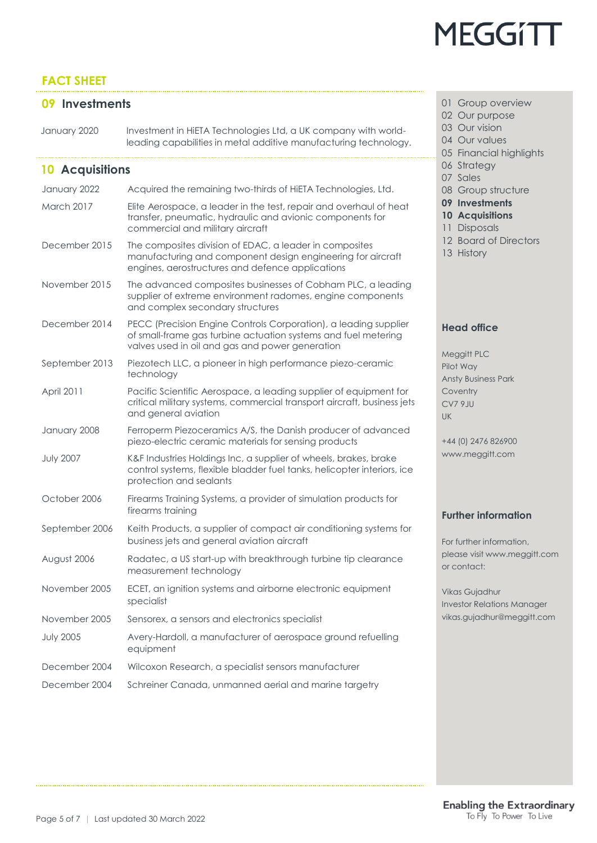# **MEGGITT**

## **FACT SHEET**

January 2020 Investment in HiETA Technologies Ltd, a UK company with worldleading capabilities in metal additive manufacturing technology.

## **10 Acquisitions**

| January 2022     | Acquired the remaining two-thirds of HiETA Technologies, Ltd.                                                                                                                         |  |
|------------------|---------------------------------------------------------------------------------------------------------------------------------------------------------------------------------------|--|
| March 2017       | Elite Aerospace, a leader in the test, repair and overhaul of heat<br>transfer, pneumatic, hydraulic and avionic components for<br>commercial and military aircraft                   |  |
| December 2015    | The composites division of EDAC, a leader in composites<br>manufacturing and component design engineering for aircraft<br>engines, aerostructures and defence applications            |  |
| November 2015    | The advanced composites businesses of Cobham PLC, a leading<br>supplier of extreme environment radomes, engine components<br>and complex secondary structures                         |  |
| December 2014    | PECC (Precision Engine Controls Corporation), a leading supplier<br>of small-frame gas turbine actuation systems and fuel metering<br>valves used in oil and gas and power generation |  |
| September 2013   | Piezotech LLC, a pioneer in high performance piezo-ceramic<br>technology                                                                                                              |  |
| April 2011       | Pacific Scientific Aerospace, a leading supplier of equipment for<br>critical military systems, commercial transport aircraft, business jets<br>and general aviation                  |  |
| January 2008     | Ferroperm Piezoceramics A/S, the Danish producer of advanced<br>piezo-electric ceramic materials for sensing products                                                                 |  |
| <b>July 2007</b> | K&F Industries Holdings Inc, a supplier of wheels, brakes, brake<br>control systems, flexible bladder fuel tanks, helicopter interiors, ice<br>protection and sealants                |  |
| October 2006     | Firearms Training Systems, a provider of simulation products for<br>firearms training                                                                                                 |  |
| September 2006   | Keith Products, a supplier of compact air conditioning systems for<br>business jets and general aviation aircraft                                                                     |  |
| August 2006      | Radatec, a US start-up with breakthrough turbine tip clearance<br>measurement technology                                                                                              |  |
| November 2005    | ECET, an ignition systems and airborne electronic equipment<br>specialist                                                                                                             |  |
| November 2005    | Sensorex, a sensors and electronics specialist                                                                                                                                        |  |
| <b>July 2005</b> | Avery-Hardoll, a manufacturer of aerospace ground refuelling<br>equipment                                                                                                             |  |
| December 2004    | Wilcoxon Research, a specialist sensors manufacturer                                                                                                                                  |  |
| December 2004    | Schreiner Canada, unmanned aerial and marine targetry                                                                                                                                 |  |

- **09 Investments 01 Group overview** 
	- 02 Our purpose
	- 03 Our vision
	- 04 Our values
	- 05 Financial highlights
	- 06 Strategy
	- 07 Sales
	- 08 Group structure
	- **09 Investments**
	- **10 Acquisitions**
	- 11 Disposals
	- 12 Board of Directors
	- 13 History

### **Head office**

Meggitt PLC Pilot Way Ansty Business Park **Coventry** CV7 9JU UK

+44 (0) 2476 826900 www.meggitt.com

### **Further information**

For further information, please visit www.meggitt.com or contact:

Vikas Gujadhur nvestor Relations Manager vikas.gujadhur@meggitt.com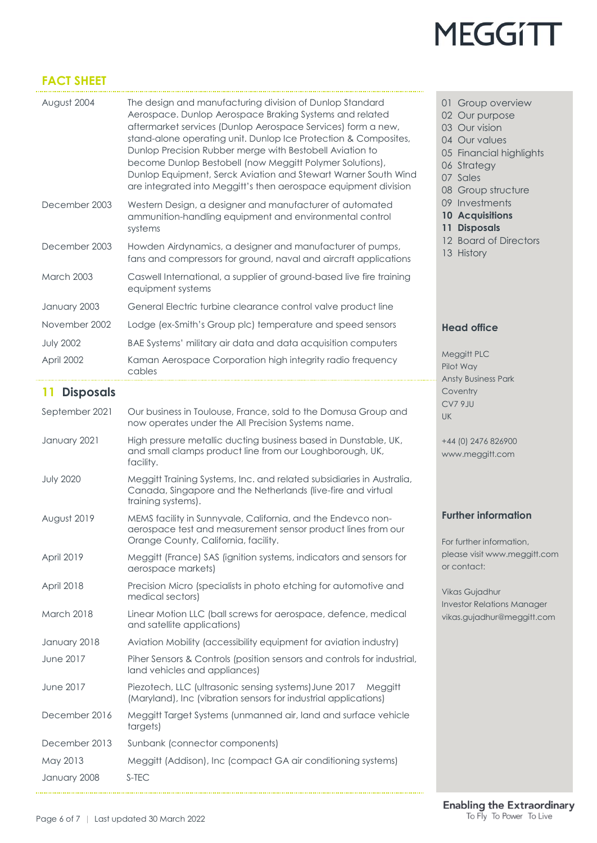

| August 2004            | The design and manufacturing division of Dunlop Standard<br>Aerospace. Dunlop Aerospace Braking Systems and related<br>aftermarket services (Dunlop Aerospace Services) form a new,<br>stand-alone operating unit. Dunlop Ice Protection & Composites,<br>Dunlop Precision Rubber merge with Bestobell Aviation to<br>become Dunlop Bestobell (now Meggitt Polymer Solutions),<br>Dunlop Equipment, Serck Aviation and Stewart Warner South Wind<br>are integrated into Meggitt's then aerospace equipment division | 01 Group overview<br>02 Our purpose<br>03 Our vision<br>04 Our values<br>05 Financial highlights<br>06 Strategy<br>07 Sales<br>08 Group structure |
|------------------------|---------------------------------------------------------------------------------------------------------------------------------------------------------------------------------------------------------------------------------------------------------------------------------------------------------------------------------------------------------------------------------------------------------------------------------------------------------------------------------------------------------------------|---------------------------------------------------------------------------------------------------------------------------------------------------|
| December 2003          | Western Design, a designer and manufacturer of automated<br>ammunition-handling equipment and environmental control<br>systems                                                                                                                                                                                                                                                                                                                                                                                      | 09 Investments<br><b>10 Acquisitions</b><br>11 Disposals                                                                                          |
| December 2003          | Howden Airdynamics, a designer and manufacturer of pumps,<br>fans and compressors for ground, naval and aircraft applications                                                                                                                                                                                                                                                                                                                                                                                       | 12 Board of Directors<br>13 History                                                                                                               |
| <b>March 2003</b>      | Caswell International, a supplier of ground-based live fire training<br>equipment systems                                                                                                                                                                                                                                                                                                                                                                                                                           |                                                                                                                                                   |
| January 2003           | General Electric turbine clearance control valve product line                                                                                                                                                                                                                                                                                                                                                                                                                                                       |                                                                                                                                                   |
| November 2002          | Lodge (ex-Smith's Group plc) temperature and speed sensors                                                                                                                                                                                                                                                                                                                                                                                                                                                          | <b>Head office</b>                                                                                                                                |
| <b>July 2002</b>       | BAE Systems' military air data and data acquisition computers                                                                                                                                                                                                                                                                                                                                                                                                                                                       |                                                                                                                                                   |
| April 2002             | Kaman Aerospace Corporation high integrity radio frequency<br>cables                                                                                                                                                                                                                                                                                                                                                                                                                                                | Meggitt PLC<br>Pilot Way<br><b>Ansty Business Park</b>                                                                                            |
| <b>Disposals</b><br>11 |                                                                                                                                                                                                                                                                                                                                                                                                                                                                                                                     | Coventry                                                                                                                                          |
| September 2021         | Our business in Toulouse, France, sold to the Domusa Group and<br>now operates under the All Precision Systems name.                                                                                                                                                                                                                                                                                                                                                                                                | CV7 9JU<br>UK                                                                                                                                     |
| January 2021           | High pressure metallic ducting business based in Dunstable, UK,<br>and small clamps product line from our Loughborough, UK,<br>facility.                                                                                                                                                                                                                                                                                                                                                                            | +44 (0) 2476 826900<br>www.meggitt.com                                                                                                            |
| <b>July 2020</b>       | Meggitt Training Systems, Inc. and related subsidiaries in Australia,<br>Canada, Singapore and the Netherlands (live-fire and virtual<br>training systems).                                                                                                                                                                                                                                                                                                                                                         |                                                                                                                                                   |
| August 2019            | MEMS facility in Sunnyvale, California, and the Endevco non-<br>aerospace test and measurement sensor product lines from our<br>Orange County, California, facility.                                                                                                                                                                                                                                                                                                                                                | <b>Further information</b><br>For further information,                                                                                            |
| April 2019             | Meggitt (France) SAS (ignition systems, indicators and sensors for<br>aerospace markets)                                                                                                                                                                                                                                                                                                                                                                                                                            | please visit www.meggitt.com<br>or contact:                                                                                                       |
| April 2018             | Precision Micro (specialists in photo etching for automotive and<br>medical sectors)                                                                                                                                                                                                                                                                                                                                                                                                                                | Vikas Gujadhur<br><b>Investor Relations Manager</b>                                                                                               |
| <b>March 2018</b>      | Linear Motion LLC (ball screws for aerospace, defence, medical<br>and satellite applications)                                                                                                                                                                                                                                                                                                                                                                                                                       | vikas.gujadhur@meggitt.com                                                                                                                        |
| January 2018           | Aviation Mobility (accessibility equipment for aviation industry)                                                                                                                                                                                                                                                                                                                                                                                                                                                   |                                                                                                                                                   |
| <b>June 2017</b>       | Piher Sensors & Controls (position sensors and controls for industrial,<br>land vehicles and appliances)                                                                                                                                                                                                                                                                                                                                                                                                            |                                                                                                                                                   |
| June 2017              | Piezotech, LLC (ultrasonic sensing systems) June 2017 Meggitt<br>(Maryland), Inc (vibration sensors for industrial applications)                                                                                                                                                                                                                                                                                                                                                                                    |                                                                                                                                                   |
| December 2016          | Meggitt Target Systems (unmanned air, land and surface vehicle<br>targets)                                                                                                                                                                                                                                                                                                                                                                                                                                          |                                                                                                                                                   |
| December 2013          | Sunbank (connector components)                                                                                                                                                                                                                                                                                                                                                                                                                                                                                      |                                                                                                                                                   |
| May 2013               | Meggitt (Addison), Inc (compact GA air conditioning systems)                                                                                                                                                                                                                                                                                                                                                                                                                                                        |                                                                                                                                                   |
| January 2008           | S-TEC                                                                                                                                                                                                                                                                                                                                                                                                                                                                                                               |                                                                                                                                                   |